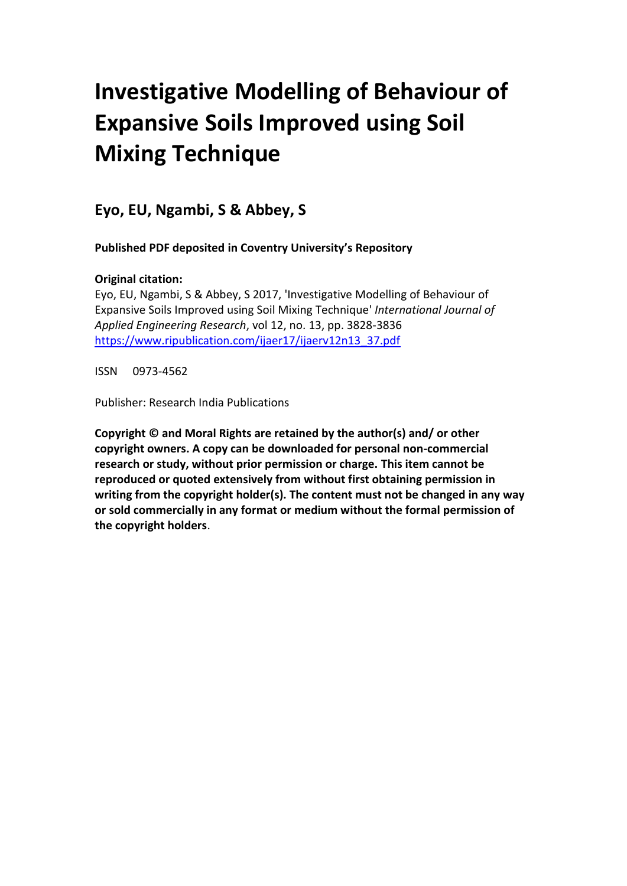# **Investigative Modelling of Behaviour of Expansive Soils Improved using Soil Mixing Technique**

**Eyo, EU, Ngambi, S & Abbey, S**

**Published PDF deposited in Coventry University's Repository**

# **Original citation:**

Eyo, EU, Ngambi, S & Abbey, S 2017, 'Investigative Modelling of Behaviour of Expansive Soils Improved using Soil Mixing Technique' *International Journal of Applied Engineering Research*, vol 12, no. 13, pp. 3828-3836 [https://www.ripublication.com/ijaer17/ijaerv12n13\\_37.pdf](https://www.ripublication.com/ijaer17/ijaerv12n13_37.pdf)

ISSN 0973-4562

Publisher: Research India Publications

**Copyright © and Moral Rights are retained by the author(s) and/ or other copyright owners. A copy can be downloaded for personal non-commercial research or study, without prior permission or charge. This item cannot be reproduced or quoted extensively from without first obtaining permission in writing from the copyright holder(s). The content must not be changed in any way or sold commercially in any format or medium without the formal permission of the copyright holders**.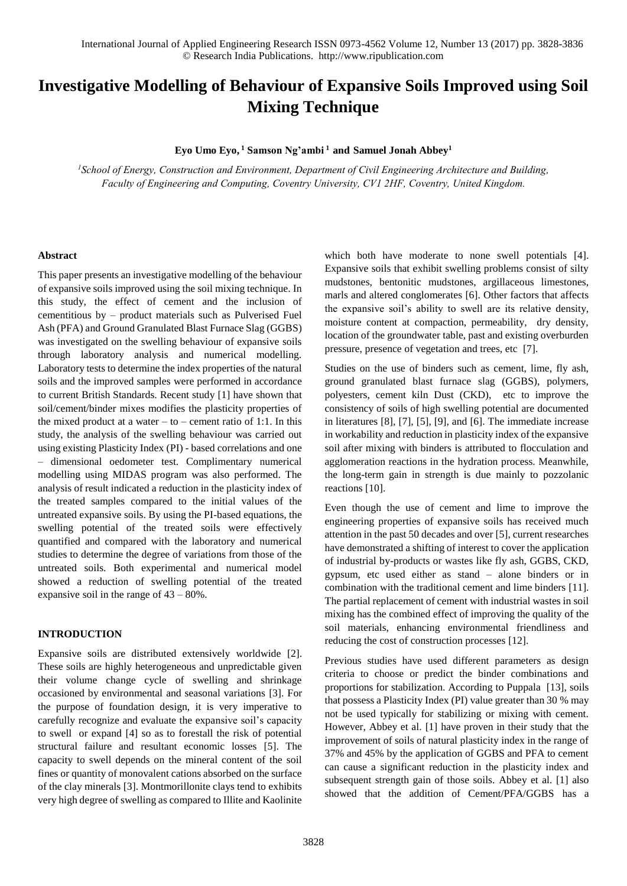# **Investigative Modelling of Behaviour of Expansive Soils Improved using Soil Mixing Technique**

#### **Eyo Umo Eyo,<sup>1</sup> Samson Ng'ambi<sup>1</sup>and Samuel Jonah Abbey<sup>1</sup>**

*<sup>1</sup>School of Energy, Construction and Environment, Department of Civil Engineering Architecture and Building, Faculty of Engineering and Computing, Coventry University, CV1 2HF, Coventry, United Kingdom.*

#### **Abstract**

This paper presents an investigative modelling of the behaviour of expansive soils improved using the soil mixing technique. In this study, the effect of cement and the inclusion of cementitious by – product materials such as Pulverised Fuel Ash (PFA) and Ground Granulated Blast Furnace Slag (GGBS) was investigated on the swelling behaviour of expansive soils through laboratory analysis and numerical modelling. Laboratory tests to determine the index properties of the natural soils and the improved samples were performed in accordance to current British Standards. Recent study [1] have shown that soil/cement/binder mixes modifies the plasticity properties of the mixed product at a water  $-$  to  $-$  cement ratio of 1:1. In this study, the analysis of the swelling behaviour was carried out using existing Plasticity Index (PI) - based correlations and one – dimensional oedometer test. Complimentary numerical modelling using MIDAS program was also performed. The analysis of result indicated a reduction in the plasticity index of the treated samples compared to the initial values of the untreated expansive soils. By using the PI-based equations, the swelling potential of the treated soils were effectively quantified and compared with the laboratory and numerical studies to determine the degree of variations from those of the untreated soils. Both experimental and numerical model showed a reduction of swelling potential of the treated expansive soil in the range of 43 – 80%.

# **INTRODUCTION**

Expansive soils are distributed extensively worldwide [2]. These soils are highly heterogeneous and unpredictable given their volume change cycle of swelling and shrinkage occasioned by environmental and seasonal variations [3]. For the purpose of foundation design, it is very imperative to carefully recognize and evaluate the expansive soil's capacity to swell or expand [4] so as to forestall the risk of potential structural failure and resultant economic losses [5]. The capacity to swell depends on the mineral content of the soil fines or quantity of monovalent cations absorbed on the surface of the clay minerals [3]. Montmorillonite clays tend to exhibits very high degree of swelling as compared to Illite and Kaolinite which both have moderate to none swell potentials [4]. Expansive soils that exhibit swelling problems consist of silty mudstones, bentonitic mudstones, argillaceous limestones, marls and altered conglomerates [6]. Other factors that affects the expansive soil's ability to swell are its relative density, moisture content at compaction, permeability, dry density, location of the groundwater table, past and existing overburden pressure, presence of vegetation and trees, etc [7].

Studies on the use of binders such as cement, lime, fly ash, ground granulated blast furnace slag (GGBS), polymers, polyesters, cement kiln Dust (CKD), etc to improve the consistency of soils of high swelling potential are documented in literatures [8], [7], [5], [9], and [6]. The immediate increase in workability and reduction in plasticity index of the expansive soil after mixing with binders is attributed to flocculation and agglomeration reactions in the hydration process. Meanwhile, the long-term gain in strength is due mainly to pozzolanic reactions [10].

Even though the use of cement and lime to improve the engineering properties of expansive soils has received much attention in the past 50 decades and over [5], current researches have demonstrated a shifting of interest to cover the application of industrial by-products or wastes like fly ash, GGBS, CKD, gypsum, etc used either as stand – alone binders or in combination with the traditional cement and lime binders [11]. The partial replacement of cement with industrial wastes in soil mixing has the combined effect of improving the quality of the soil materials, enhancing environmental friendliness and reducing the cost of construction processes [12].

Previous studies have used different parameters as design criteria to choose or predict the binder combinations and proportions for stabilization. According to Puppala [13], soils that possess a Plasticity Index (PI) value greater than 30 % may not be used typically for stabilizing or mixing with cement. However, Abbey et al. [1] have proven in their study that the improvement of soils of natural plasticity index in the range of 37% and 45% by the application of GGBS and PFA to cement can cause a significant reduction in the plasticity index and subsequent strength gain of those soils. Abbey et al. [1] also showed that the addition of Cement/PFA/GGBS has a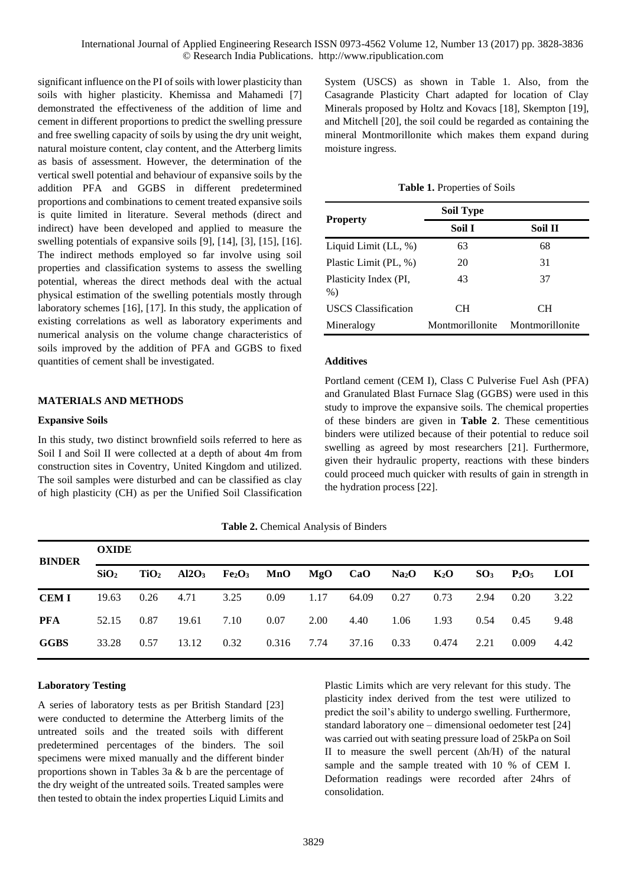significant influence on the PI of soils with lower plasticity than soils with higher plasticity. Khemissa and Mahamedi [7] demonstrated the effectiveness of the addition of lime and cement in different proportions to predict the swelling pressure and free swelling capacity of soils by using the dry unit weight, natural moisture content, clay content, and the Atterberg limits as basis of assessment. However, the determination of the vertical swell potential and behaviour of expansive soils by the addition PFA and GGBS in different predetermined proportions and combinations to cement treated expansive soils is quite limited in literature. Several methods (direct and indirect) have been developed and applied to measure the swelling potentials of expansive soils [9], [14], [3], [15], [16]. The indirect methods employed so far involve using soil properties and classification systems to assess the swelling potential, whereas the direct methods deal with the actual physical estimation of the swelling potentials mostly through laboratory schemes [16], [17]. In this study, the application of existing correlations as well as laboratory experiments and numerical analysis on the volume change characteristics of soils improved by the addition of PFA and GGBS to fixed quantities of cement shall be investigated.

# **MATERIALS AND METHODS**

# **Expansive Soils**

In this study, two distinct brownfield soils referred to here as Soil I and Soil II were collected at a depth of about 4m from construction sites in Coventry, United Kingdom and utilized. The soil samples were disturbed and can be classified as clay of high plasticity (CH) as per the Unified Soil Classification System (USCS) as shown in Table 1. Also, from the Casagrande Plasticity Chart adapted for location of Clay Minerals proposed by Holtz and Kovacs [18], Skempton [19], and Mitchell [20], the soil could be regarded as containing the mineral Montmorillonite which makes them expand during moisture ingress.

| Table 1. Properties of Soils |  |  |  |  |  |
|------------------------------|--|--|--|--|--|
|------------------------------|--|--|--|--|--|

|                                | <b>Soil Type</b> |                 |
|--------------------------------|------------------|-----------------|
| <b>Property</b>                | Soil I           | Soil II         |
| Liquid Limit $(LL, %)$         | 63               | 68              |
| Plastic Limit (PL, %)          | 20               | 31              |
| Plasticity Index (PI,<br>$%$ ) | 43               | 37              |
| <b>USCS</b> Classification     | CН               | CН              |
| Mineralogy                     | Montmorillonite  | Montmorillonite |

# **Additives**

Portland cement (CEM I), Class C Pulverise Fuel Ash (PFA) and Granulated Blast Furnace Slag (GGBS) were used in this study to improve the expansive soils. The chemical properties of these binders are given in **Table 2**. These cementitious binders were utilized because of their potential to reduce soil swelling as agreed by most researchers [21]. Furthermore, given their hydraulic property, reactions with these binders could proceed much quicker with results of gain in strength in the hydration process [22].

**Table 2.** Chemical Analysis of Binders

| <b>BINDER</b> | <b>OXIDE</b>     |      |                                                                     |      |       |      |       |              |       |      |                 |            |
|---------------|------------------|------|---------------------------------------------------------------------|------|-------|------|-------|--------------|-------|------|-----------------|------------|
|               | SiO <sub>2</sub> |      | $TiO2$ Al2O <sub>3</sub> Fe <sub>2</sub> O <sub>3</sub> MnO MgO CaO |      |       |      |       | $Na2O$ $K2O$ |       |      | $SO_3$ $P_2O_5$ | <b>LOI</b> |
| <b>CEMI</b>   | 19.63            | 0.26 | 4.71                                                                | 3.25 | 0.09  | 1.17 | 64.09 | 0.27         | 0.73  | 2.94 | 0.20            | 3.22       |
| <b>PFA</b>    | 52.15            | 0.87 | 19.61                                                               | 7.10 | 0.07  | 2.00 | 4.40  | 1.06         | 1.93  | 0.54 | 0.45            | 9.48       |
| <b>GGBS</b>   | 33.28            | 0.57 | 13.12                                                               | 0.32 | 0.316 | 7.74 | 37.16 | 0.33         | 0.474 | 2.21 | 0.009           | 4.42       |

# **Laboratory Testing**

A series of laboratory tests as per British Standard [23] were conducted to determine the Atterberg limits of the untreated soils and the treated soils with different predetermined percentages of the binders. The soil specimens were mixed manually and the different binder proportions shown in Tables 3a & b are the percentage of the dry weight of the untreated soils. Treated samples were then tested to obtain the index properties Liquid Limits and

Plastic Limits which are very relevant for this study. The plasticity index derived from the test were utilized to predict the soil's ability to undergo swelling. Furthermore, standard laboratory one – dimensional oedometer test [24] was carried out with seating pressure load of 25kPa on Soil II to measure the swell percent  $(\Delta h/H)$  of the natural sample and the sample treated with 10 % of CEM I. Deformation readings were recorded after 24hrs of consolidation.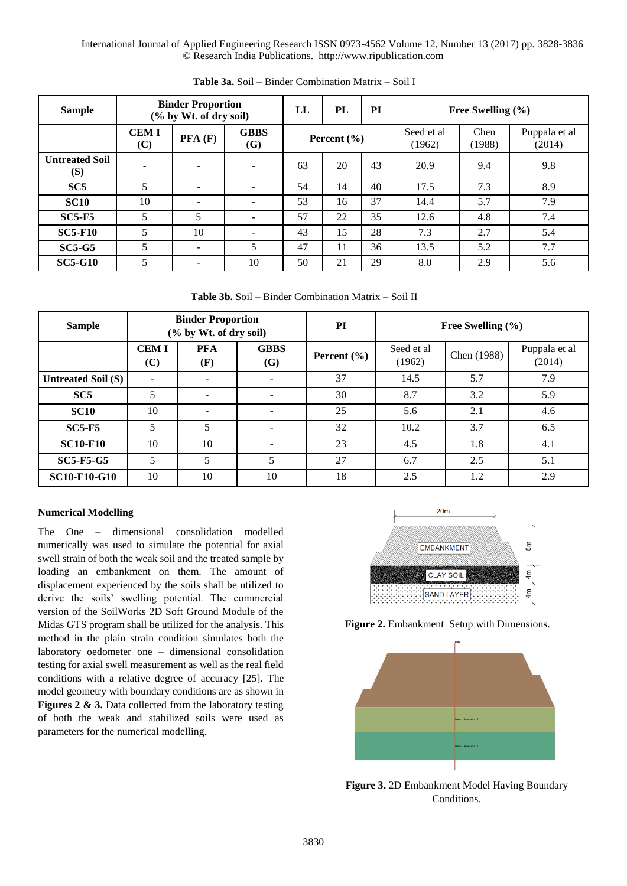| <b>Sample</b>                | <b>Binder Proportion</b><br>(% by Wt. of dry soil) |        |                           | LL              | PL | PI | Free Swelling $(\% )$ |                |                         |  |  |
|------------------------------|----------------------------------------------------|--------|---------------------------|-----------------|----|----|-----------------------|----------------|-------------------------|--|--|
|                              | <b>CEMI</b><br>(C)                                 | PFA(F) | <b>GBBS</b><br><b>(G)</b> | Percent $(\% )$ |    |    | Seed et al.<br>(1962) | Chen<br>(1988) | Puppala et al<br>(2014) |  |  |
| <b>Untreated Soil</b><br>(S) |                                                    |        | $\overline{\phantom{0}}$  | 63              | 20 | 43 | 20.9                  | 9.4            | 9.8                     |  |  |
| SC5                          | 5                                                  |        |                           | 54              | 14 | 40 | 17.5                  | 7.3            | 8.9                     |  |  |
| <b>SC10</b>                  | 10                                                 |        | $\overline{\phantom{0}}$  | 53              | 16 | 37 | 14.4                  | 5.7            | 7.9                     |  |  |
| $SC5-F5$                     | 5                                                  | 5      | $\overline{\phantom{a}}$  | 57              | 22 | 35 | 12.6                  | 4.8            | 7.4                     |  |  |
| <b>SC5-F10</b>               | 5                                                  | 10     | $\overline{\phantom{0}}$  | 43              | 15 | 28 | 7.3                   | 2.7            | 5.4                     |  |  |
| $SC5-G5$                     | 5                                                  |        | 5                         | 47              | 11 | 36 | 13.5                  | 5.2            | 7.7                     |  |  |
| <b>SC5-G10</b>               | 5                                                  |        | 10                        | 50              | 21 | 29 | 8.0                   | 2.9            | 5.6                     |  |  |

**Table 3a.** Soil – Binder Combination Matrix – Soil I

**Table 3b.** Soil – Binder Combination Matrix – Soil II

| <b>Sample</b>             | <b>Binder Proportion</b><br>(% by Wt. of dry soil) |                   |                          | PI              | Free Swelling $(\% )$ |             |                         |  |
|---------------------------|----------------------------------------------------|-------------------|--------------------------|-----------------|-----------------------|-------------|-------------------------|--|
|                           | <b>CEMI</b><br>(C)                                 | <b>PFA</b><br>(F) | <b>GBBS</b><br>(G)       | Percent $(\% )$ | Seed et al<br>(1962)  | Chen (1988) | Puppala et al<br>(2014) |  |
| <b>Untreated Soil (S)</b> |                                                    | -                 |                          | 37              | 14.5                  | 5.7         | 7.9                     |  |
| SC5                       | 5                                                  | ۰                 | $\overline{\phantom{a}}$ | 30              | 8.7                   | 3.2         | 5.9                     |  |
| <b>SC10</b>               | 10                                                 | -                 |                          | 25              | 5.6                   | 2.1         | 4.6                     |  |
| $SC5-F5$                  | 5                                                  | 5                 | $\overline{\phantom{a}}$ | 32              | 10.2                  | 3.7         | 6.5                     |  |
| <b>SC10-F10</b>           | 10                                                 | 10                |                          | 23              | 4.5                   | 1.8         | 4.1                     |  |
| <b>SC5-F5-G5</b>          | 5                                                  | 5                 | 5                        | 27              | 6.7                   | 2.5         | 5.1                     |  |
| <b>SC10-F10-G10</b>       | 10                                                 | 10                | 10                       | 18              | 2.5                   | 1.2         | 2.9                     |  |

# **Numerical Modelling**

The One – dimensional consolidation modelled numerically was used to simulate the potential for axial swell strain of both the weak soil and the treated sample by loading an embankment on them. The amount of displacement experienced by the soils shall be utilized to derive the soils' swelling potential. The commercial version of the SoilWorks 2D Soft Ground Module of the Midas GTS program shall be utilized for the analysis. This method in the plain strain condition simulates both the laboratory oedometer one – dimensional consolidation testing for axial swell measurement as well as the real field conditions with a relative degree of accuracy [25]. The model geometry with boundary conditions are as shown in **Figures 2 & 3.** Data collected from the laboratory testing of both the weak and stabilized soils were used as parameters for the numerical modelling.



**Figure 2.** Embankment Setup with Dimensions.



**Figure 3.** 2D Embankment Model Having Boundary Conditions.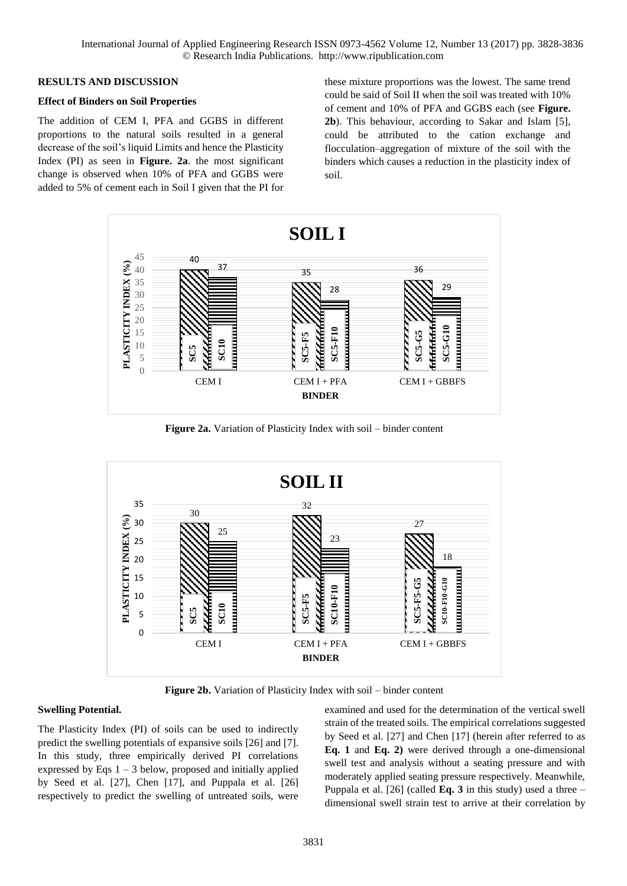#### **RESULTS AND DISCUSSION**

#### **Effect of Binders on Soil Properties**

The addition of CEM I, PFA and GGBS in different proportions to the natural soils resulted in a general decrease of the soil's liquid Limits and hence the Plasticity Index (PI) as seen in **Figure. 2a**. the most significant change is observed when 10% of PFA and GGBS were added to 5% of cement each in Soil I given that the PI for these mixture proportions was the lowest. The same trend could be said of Soil II when the soil was treated with 10% of cement and 10% of PFA and GGBS each (see **Figure. 2b**). This behaviour, according to Sakar and Islam [5], could be attributed to the cation exchange and flocculation–aggregation of mixture of the soil with the binders which causes a reduction in the plasticity index of soil.



Figure 2a. Variation of Plasticity Index with soil – binder content



**Figure 2b.** Variation of Plasticity Index with soil – binder content

# **Swelling Potential.**

The Plasticity Index (PI) of soils can be used to indirectly predict the swelling potentials of expansive soils [26] and [7]. In this study, three empirically derived PI correlations expressed by Eqs  $1 - 3$  below, proposed and initially applied by Seed et al. [27], Chen [17], and Puppala et al. [26] respectively to predict the swelling of untreated soils, were examined and used for the determination of the vertical swell strain of the treated soils. The empirical correlations suggested by Seed et al. [27] and Chen [17] (herein after referred to as **Eq. 1** and **Eq. 2)** were derived through a one-dimensional swell test and analysis without a seating pressure and with moderately applied seating pressure respectively. Meanwhile, Puppala et al. [26] (called **Eq. 3** in this study) used a three – dimensional swell strain test to arrive at their correlation by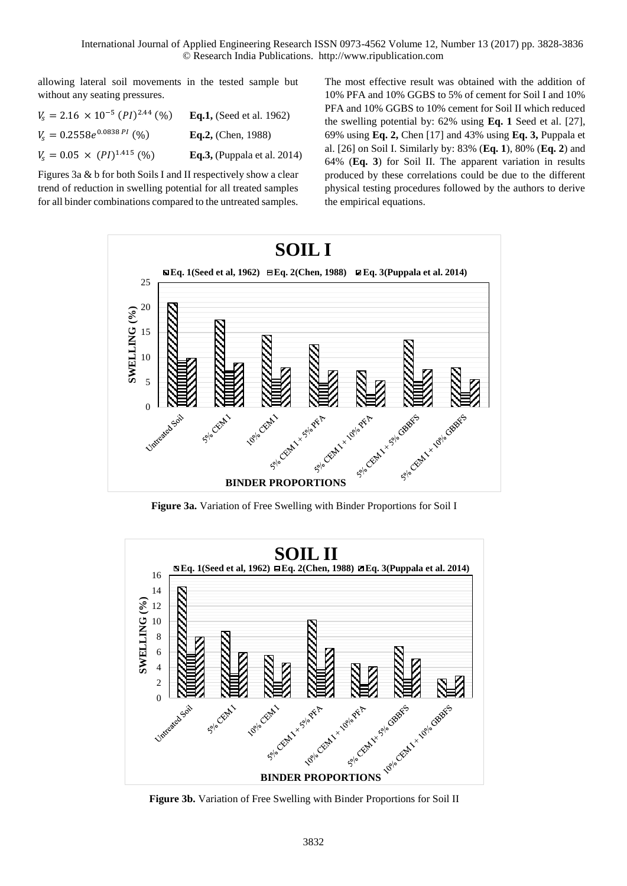allowing lateral soil movements in the tested sample but without any seating pressures.

| $V_s = 2.16 \times 10^{-5} (PI)^{2.44} (%)$ | <b>Eq.1,</b> (Seed et al. 1962) |
|---------------------------------------------|---------------------------------|
| $V_s = 0.2558e^{0.0838\,PI}$ (%)            | Eq.2, (Chen, $1988$ )           |
| $V_s = 0.05 \times (PI)^{1.415}$ (%)        | Eq.3, (Puppala et al. $2014$ )  |

Figures 3a & b for both Soils I and II respectively show a clear trend of reduction in swelling potential for all treated samples for all binder combinations compared to the untreated samples. The most effective result was obtained with the addition of 10% PFA and 10% GGBS to 5% of cement for Soil I and 10% PFA and 10% GGBS to 10% cement for Soil II which reduced the swelling potential by: 62% using **Eq. 1** Seed et al. [27], 69% using **Eq. 2,** Chen [17] and 43% using **Eq. 3,** Puppala et al. [26] on Soil I. Similarly by: 83% (**Eq. 1**), 80% (**Eq. 2**) and 64% (**Eq. 3**) for Soil II. The apparent variation in results produced by these correlations could be due to the different physical testing procedures followed by the authors to derive the empirical equations.



**Figure 3a.** Variation of Free Swelling with Binder Proportions for Soil I



**Figure 3b.** Variation of Free Swelling with Binder Proportions for Soil II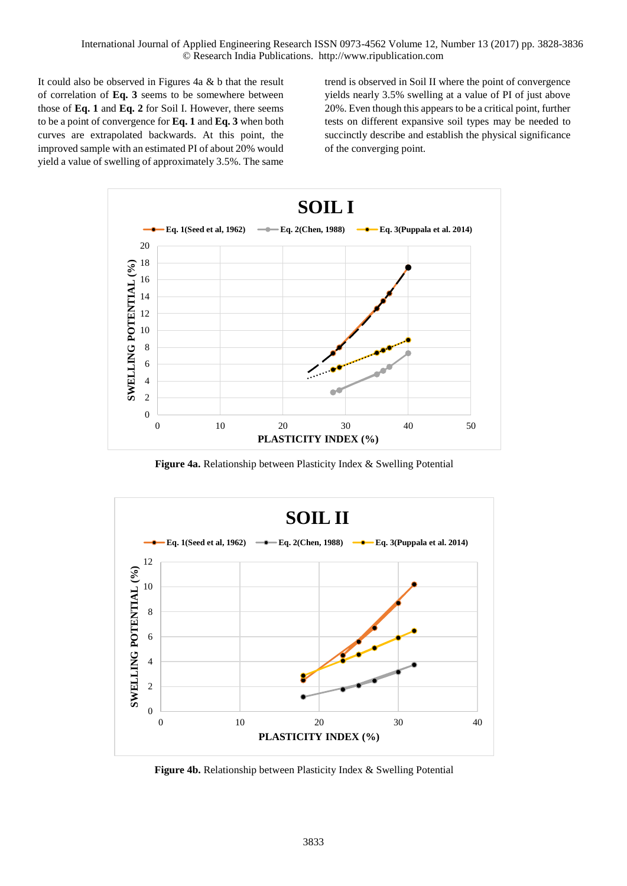It could also be observed in Figures 4a & b that the result of correlation of **Eq. 3** seems to be somewhere between those of **Eq. 1** and **Eq. 2** for Soil I. However, there seems to be a point of convergence for **Eq. 1** and **Eq. 3** when both curves are extrapolated backwards. At this point, the improved sample with an estimated PI of about 20% would yield a value of swelling of approximately 3.5%. The same trend is observed in Soil II where the point of convergence yields nearly 3.5% swelling at a value of PI of just above 20%. Even though this appears to be a critical point, further tests on different expansive soil types may be needed to succinctly describe and establish the physical significance of the converging point.



**Figure 4a.** Relationship between Plasticity Index & Swelling Potential



**Figure 4b.** Relationship between Plasticity Index & Swelling Potential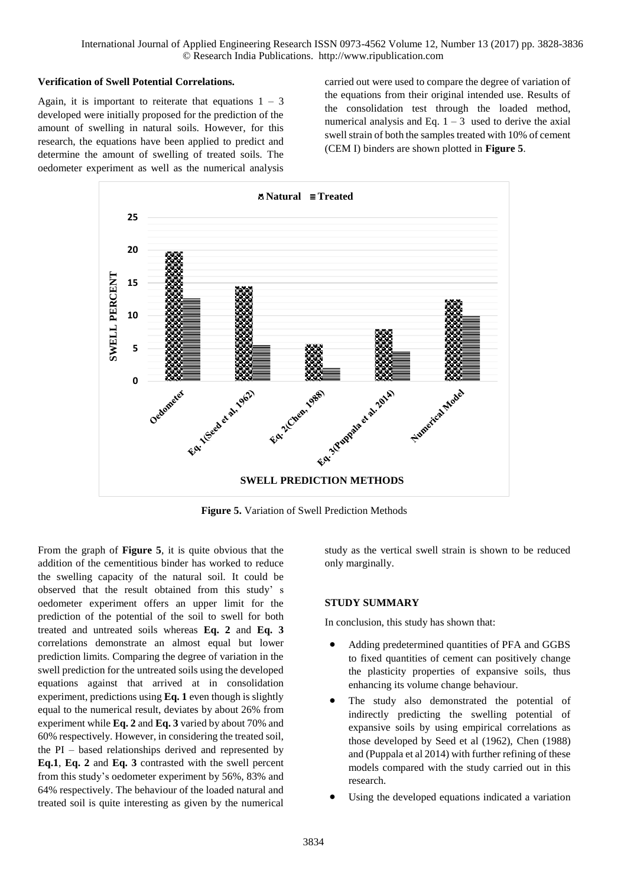# **Verification of Swell Potential Correlations.**

Again, it is important to reiterate that equations  $1 - 3$ developed were initially proposed for the prediction of the amount of swelling in natural soils. However, for this research, the equations have been applied to predict and determine the amount of swelling of treated soils. The oedometer experiment as well as the numerical analysis

carried out were used to compare the degree of variation of the equations from their original intended use. Results of the consolidation test through the loaded method, numerical analysis and Eq.  $1 - 3$  used to derive the axial swell strain of both the samples treated with 10% of cement (CEM I) binders are shown plotted in **Figure 5**.



**Figure 5.** Variation of Swell Prediction Methods

From the graph of **Figure 5**, it is quite obvious that the addition of the cementitious binder has worked to reduce the swelling capacity of the natural soil. It could be observed that the result obtained from this study' s oedometer experiment offers an upper limit for the prediction of the potential of the soil to swell for both treated and untreated soils whereas **Eq. 2** and **Eq. 3** correlations demonstrate an almost equal but lower prediction limits. Comparing the degree of variation in the swell prediction for the untreated soils using the developed equations against that arrived at in consolidation experiment, predictions using **Eq. 1** even though is slightly equal to the numerical result, deviates by about 26% from experiment while **Eq. 2** and **Eq. 3** varied by about 70% and 60% respectively. However, in considering the treated soil, the PI – based relationships derived and represented by **Eq.1**, **Eq. 2** and **Eq. 3** contrasted with the swell percent from this study's oedometer experiment by 56%, 83% and 64% respectively. The behaviour of the loaded natural and treated soil is quite interesting as given by the numerical

study as the vertical swell strain is shown to be reduced only marginally.

# **STUDY SUMMARY**

In conclusion, this study has shown that:

- Adding predetermined quantities of PFA and GGBS to fixed quantities of cement can positively change the plasticity properties of expansive soils, thus enhancing its volume change behaviour.
- The study also demonstrated the potential of indirectly predicting the swelling potential of expansive soils by using empirical correlations as those developed by Seed et al (1962), Chen (1988) and (Puppala et al 2014) with further refining of these models compared with the study carried out in this research.
- Using the developed equations indicated a variation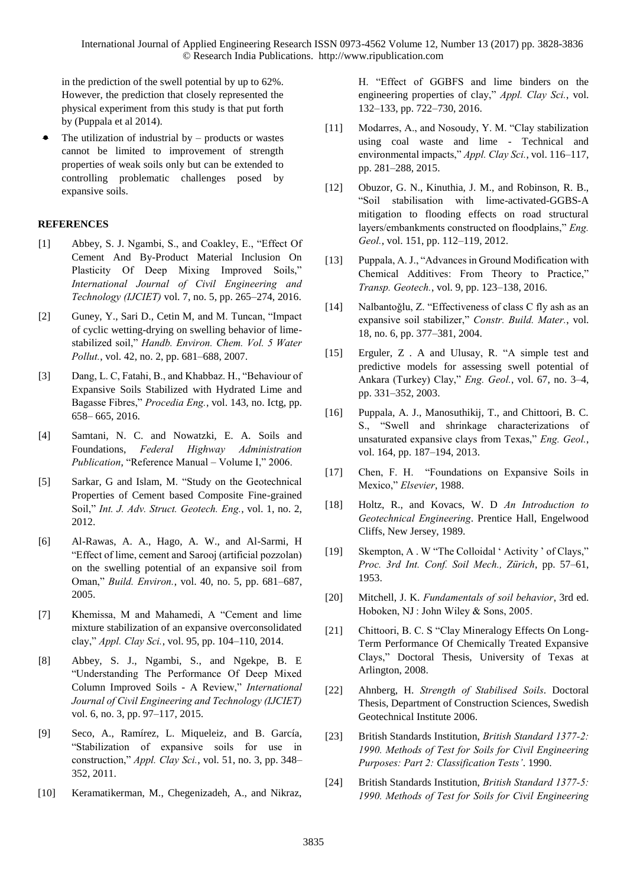in the prediction of the swell potential by up to 62%. However, the prediction that closely represented the physical experiment from this study is that put forth by (Puppala et al 2014).

 The utilization of industrial by – products or wastes cannot be limited to improvement of strength properties of weak soils only but can be extended to controlling problematic challenges posed by expansive soils.

# **REFERENCES**

- [1] Abbey, S. J. Ngambi, S., and Coakley, E., "Effect Of Cement And By-Product Material Inclusion On Plasticity Of Deep Mixing Improved Soils," *International Journal of Civil Engineering and Technology (IJCIET)* vol. 7, no. 5, pp. 265–274, 2016.
- [2] Guney, Y., Sari D., Cetin M, and M. Tuncan, "Impact of cyclic wetting-drying on swelling behavior of limestabilized soil," *Handb. Environ. Chem. Vol. 5 Water Pollut.*, vol. 42, no. 2, pp. 681–688, 2007.
- [3] Dang, L. C, Fatahi, B., and Khabbaz. H., "Behaviour of Expansive Soils Stabilized with Hydrated Lime and Bagasse Fibres," *Procedia Eng.*, vol. 143, no. Ictg, pp. 658– 665, 2016.
- [4] Samtani, N. C. and Nowatzki, E. A. Soils and Foundations, *Federal Highway Administration Publication*, "Reference Manual – Volume I," 2006.
- [5] Sarkar, G and Islam, M. "Study on the Geotechnical Properties of Cement based Composite Fine-grained Soil," *Int. J. Adv. Struct. Geotech. Eng.*, vol. 1, no. 2, 2012.
- [6] Al-Rawas, A. A., Hago, A. W., and Al-Sarmi, H "Effect of lime, cement and Sarooj (artificial pozzolan) on the swelling potential of an expansive soil from Oman," *Build. Environ.*, vol. 40, no. 5, pp. 681–687, 2005.
- [7] Khemissa, M and Mahamedi, A "Cement and lime mixture stabilization of an expansive overconsolidated clay," *Appl. Clay Sci.*, vol. 95, pp. 104–110, 2014.
- [8] Abbey, S. J., Ngambi, S., and Ngekpe, B. E "Understanding The Performance Of Deep Mixed Column Improved Soils - A Review," *International Journal of Civil Engineering and Technology (IJCIET)* vol. 6, no. 3, pp. 97–117, 2015.
- [9] Seco, A., Ramírez, L. Miqueleiz, and B. García, "Stabilization of expansive soils for use in construction," *Appl. Clay Sci.*, vol. 51, no. 3, pp. 348– 352, 2011.
- [10] Keramatikerman, M., Chegenizadeh, A., and Nikraz,

H. "Effect of GGBFS and lime binders on the engineering properties of clay," *Appl. Clay Sci.*, vol. 132–133, pp. 722–730, 2016.

- [11] Modarres, A., and Nosoudy, Y. M. "Clay stabilization using coal waste and lime - Technical and environmental impacts," *Appl. Clay Sci.*, vol. 116–117, pp. 281–288, 2015.
- [12] Obuzor, G. N., Kinuthia, J. M., and Robinson, R. B., "Soil stabilisation with lime-activated-GGBS-A mitigation to flooding effects on road structural layers/embankments constructed on floodplains," *Eng. Geol.*, vol. 151, pp. 112–119, 2012.
- [13] Puppala, A. J., "Advances in Ground Modification with Chemical Additives: From Theory to Practice," *Transp. Geotech.*, vol. 9, pp. 123–138, 2016.
- [14] Nalbantoğlu, Z. "Effectiveness of class C fly ash as an expansive soil stabilizer," *Constr. Build. Mater.*, vol. 18, no. 6, pp. 377–381, 2004.
- [15] Erguler, Z . A and Ulusay, R. "A simple test and predictive models for assessing swell potential of Ankara (Turkey) Clay," *Eng. Geol.*, vol. 67, no. 3–4, pp. 331–352, 2003.
- [16] Puppala, A. J., Manosuthikij, T., and Chittoori, B. C. S., "Swell and shrinkage characterizations of unsaturated expansive clays from Texas," *Eng. Geol.*, vol. 164, pp. 187–194, 2013.
- [17] Chen, F. H. "Foundations on Expansive Soils in Mexico," *Elsevier*, 1988.
- [18] Holtz, R., and Kovacs, W. D *An Introduction to Geotechnical Engineering*. Prentice Hall, Engelwood Cliffs, New Jersey, 1989.
- [19] Skempton, A . W "The Colloidal ' Activity ' of Clays," *Proc. 3rd Int. Conf. Soil Mech., Zürich*, pp. 57–61, 1953.
- [20] Mitchell, J. K. *Fundamentals of soil behavior*, 3rd ed. Hoboken, NJ : John Wiley & Sons, 2005.
- [21] Chittoori, B. C. S "Clay Mineralogy Effects On Long-Term Performance Of Chemically Treated Expansive Clays," Doctoral Thesis, University of Texas at Arlington, 2008.
- [22] Ahnberg, H. *Strength of Stabilised Soils*. Doctoral Thesis, Department of Construction Sciences, Swedish Geotechnical Institute 2006.
- [23] British Standards Institution, *British Standard 1377-2: 1990. Methods of Test for Soils for Civil Engineering Purposes: Part 2: Classification Tests'*. 1990.
- [24] British Standards Institution, *British Standard 1377-5: 1990. Methods of Test for Soils for Civil Engineering*